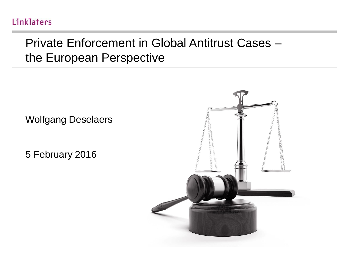#### Linklaters

#### Private Enforcement in Global Antitrust Cases – the European Perspective

Wolfgang Deselaers

5 February 2016

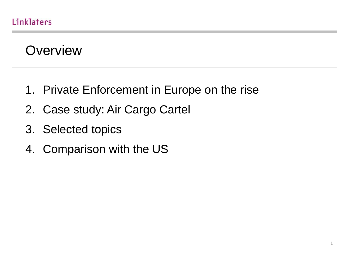### **Overview**

- 1. Private Enforcement in Europe on the rise
- 2. Case study: Air Cargo Cartel
- 3. Selected topics
- 4. Comparison with the US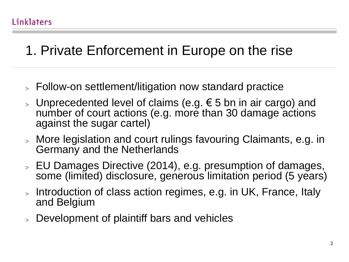# 1. Private Enforcement in Europe on the rise

- > Follow-on settlement/litigation now standard practice
- > Unprecedented level of claims (e.g.  $€ 5$  bn in air cargo) and number of court actions (e.g. more than 30 damage actions against the sugar cartel)
- > More legislation and court rulings favouring Claimants, e.g. in Germany and the Netherlands
- > EU Damages Directive (2014), e.g. presumption of damages, some (limited) disclosure, generous limitation period (5 years)
- > Introduction of class action regimes, e.g. in UK, France, Italy and Belgium
- > Development of plaintiff bars and vehicles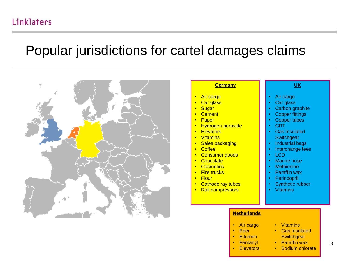### Popular jurisdictions for cartel damages claims



#### **Germany**

- **Air cargo**
- **Car glass**
- **Sugar**
- **Cement**
- Paper
- Hydrogen peroxide
- **Elevators**
- Vitamins
- **Sales packaging**
- Coffee
- Consumer goods
- **Chocolate**
- **Cosmetics**
- **Fire trucks**
- Flour
- **Cathode ray tubes**
- Rail compressors

#### **UK**

- Air cargo
- Car glass
- Carbon graphite
- **Copper fittings**
- **Copper tubes**
- CRT
- Gas Insulated **Switchgear**
- Industrial bags
- Interchange fees
- LCD
- **Marine hose**
- **Methionine**
- Paraffin wax
- **Perindopril**
- Synthetic rubber
- Vitamins

#### **Netherlands**

- Air cargo
	- Beer
- Bitumen
- Fentanyl
- **Elevators**
- Vitamins
- Gas Insulated **Switchgear** • Paraffin wax
	-
- Sodium chlorate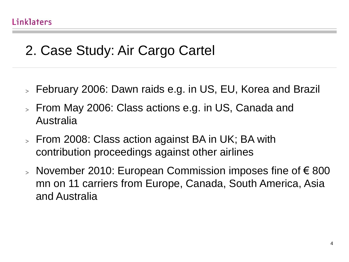# 2. Case Study: Air Cargo Cartel

- > February 2006: Dawn raids e.g. in US, EU, Korea and Brazil
- > From May 2006: Class actions e.g. in US, Canada and Australia
- > From 2008: Class action against BA in UK; BA with contribution proceedings against other airlines
- > November 2010: European Commission imposes fine of €800 mn on 11 carriers from Europe, Canada, South America, Asia and Australia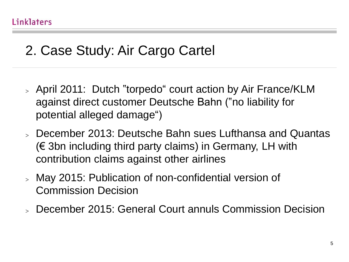# 2. Case Study: Air Cargo Cartel

- > April 2011: Dutch "torpedo" court action by Air France/KLM against direct customer Deutsche Bahn ("no liability for potential alleged damage")
- > December 2013: Deutsche Bahn sues Lufthansa and Quantas (€ 3bn including third party claims) in Germany, LH with contribution claims against other airlines
- > May 2015: Publication of non-confidential version of Commission Decision
- > December 2015: General Court annuls Commission Decision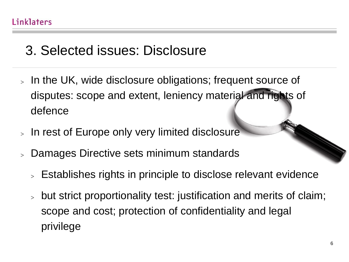# 3. Selected issues: Disclosure

- > In the UK, wide disclosure obligations; frequent source of disputes: scope and extent, leniency material and rights of defence
- > In rest of Europe only very limited disclosure
- > Damages Directive sets minimum standards
	- > Establishes rights in principle to disclose relevant evidence
	- > but strict proportionality test: justification and merits of claim; scope and cost; protection of confidentiality and legal privilege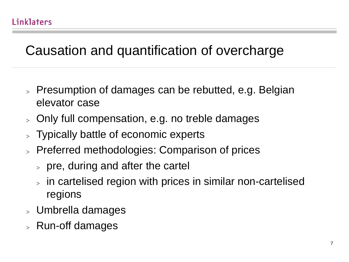# Causation and quantification of overcharge

- > Presumption of damages can be rebutted, e.g. Belgian elevator case
- > Only full compensation, e.g. no treble damages
- > Typically battle of economic experts
- > Preferred methodologies: Comparison of prices
	- $>$  pre, during and after the cartel
	- > in cartelised region with prices in similar non-cartelised regions
- > Umbrella damages
- > Run-off damages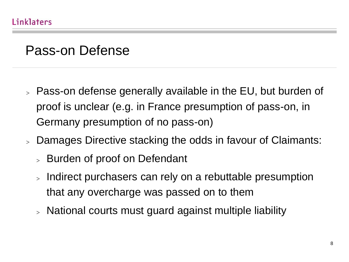### Pass-on Defense

- > Pass-on defense generally available in the EU, but burden of proof is unclear (e.g. in France presumption of pass-on, in Germany presumption of no pass-on)
- > Damages Directive stacking the odds in favour of Claimants:
	- > Burden of proof on Defendant
	- > Indirect purchasers can rely on a rebuttable presumption that any overcharge was passed on to them
	- > National courts must guard against multiple liability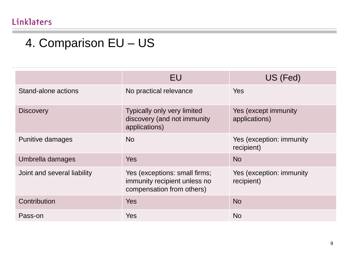### 4. Comparison EU – US

|                             | EU                                                                                         | US (Fed)                               |
|-----------------------------|--------------------------------------------------------------------------------------------|----------------------------------------|
| Stand-alone actions         | No practical relevance                                                                     | Yes                                    |
| <b>Discovery</b>            | Typically only very limited<br>discovery (and not immunity<br>applications)                | Yes (except immunity<br>applications)  |
| Punitive damages            | <b>No</b>                                                                                  | Yes (exception: immunity<br>recipient) |
| Umbrella damages            | <b>Yes</b>                                                                                 | <b>No</b>                              |
| Joint and several liability | Yes (exceptions: small firms;<br>immunity recipient unless no<br>compensation from others) | Yes (exception: immunity<br>recipient) |
| Contribution                | <b>Yes</b>                                                                                 | <b>No</b>                              |
| Pass-on                     | Yes                                                                                        | <b>No</b>                              |